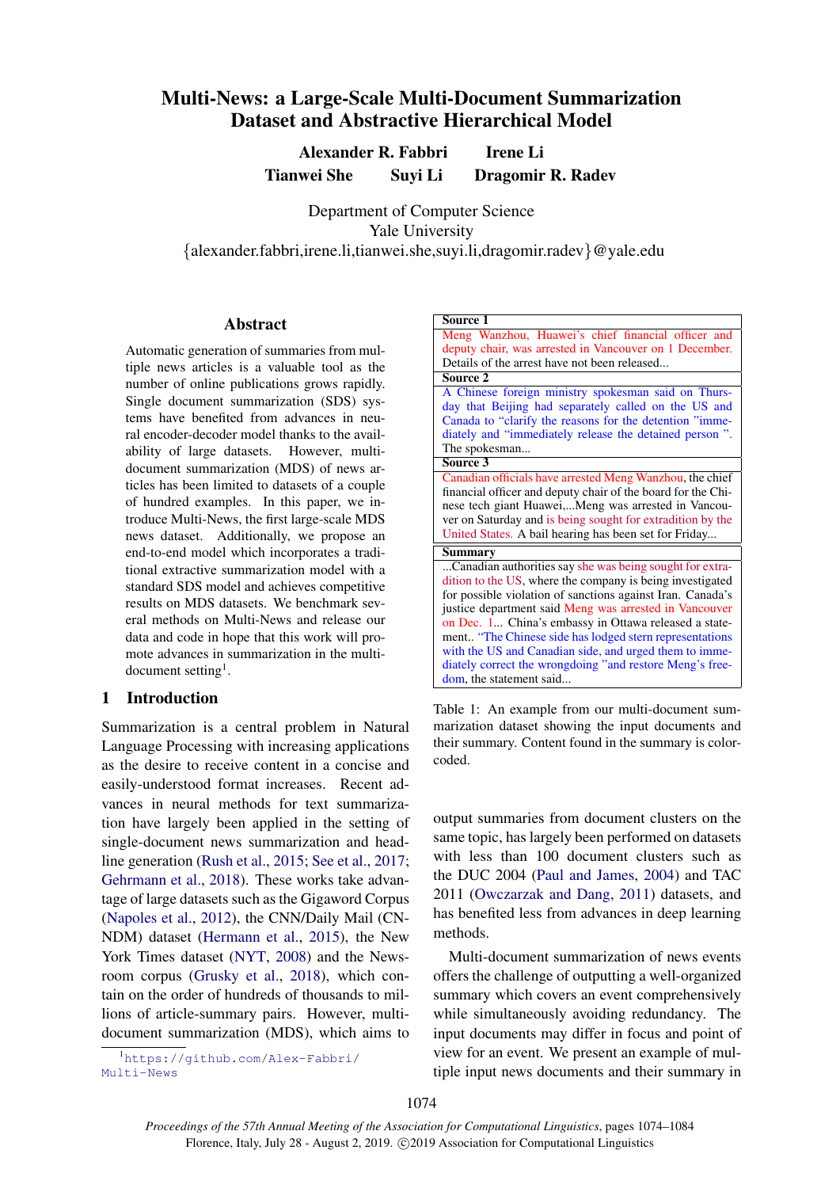# Multi-News: a Large-Scale Multi-Document Summarization Dataset and Abstractive Hierarchical Model

Alexander R. Fabbri Irene Li Tianwei She Suyi Li Dragomir R. Radev

Department of Computer Science Yale University {alexander.fabbri,irene.li,tianwei.she,suyi.li,dragomir.radev}@yale.edu

### Abstract

Automatic generation of summaries from multiple news articles is a valuable tool as the number of online publications grows rapidly. Single document summarization (SDS) systems have benefited from advances in neural encoder-decoder model thanks to the availability of large datasets. However, multidocument summarization (MDS) of news articles has been limited to datasets of a couple of hundred examples. In this paper, we introduce Multi-News, the first large-scale MDS news dataset. Additionally, we propose an end-to-end model which incorporates a traditional extractive summarization model with a standard SDS model and achieves competitive results on MDS datasets. We benchmark several methods on Multi-News and release our data and code in hope that this work will promote advances in summarization in the multi-document setting<sup>[1](#page-0-0)</sup>.

## 1 Introduction

Summarization is a central problem in Natural Language Processing with increasing applications as the desire to receive content in a concise and easily-understood format increases. Recent advances in neural methods for text summarization have largely been applied in the setting of single-document news summarization and headline generation [\(Rush et al.,](#page-10-0) [2015;](#page-10-0) [See et al.,](#page-10-1) [2017;](#page-10-1) [Gehrmann et al.,](#page-8-0) [2018\)](#page-8-0). These works take advantage of large datasets such as the Gigaword Corpus [\(Napoles et al.,](#page-9-0) [2012\)](#page-9-0), the CNN/Daily Mail (CN-NDM) dataset [\(Hermann et al.,](#page-9-1) [2015\)](#page-9-1), the New York Times dataset [\(NYT,](#page-8-1) [2008\)](#page-8-1) and the Newsroom corpus [\(Grusky et al.,](#page-9-2) [2018\)](#page-9-2), which contain on the order of hundreds of thousands to millions of article-summary pairs. However, multidocument summarization (MDS), which aims to

<span id="page-0-0"></span><sup>1</sup>[https://github.com/Alex-Fabbri/](https://github.com/Alex-Fabbri/Multi-News) [Multi-News](https://github.com/Alex-Fabbri/Multi-News)

<span id="page-0-1"></span>

| Source 1                                                     |  |  |  |  |
|--------------------------------------------------------------|--|--|--|--|
| Meng Wanzhou, Huawei's chief financial officer and           |  |  |  |  |
| deputy chair, was arrested in Vancouver on 1 December.       |  |  |  |  |
| Details of the arrest have not been released                 |  |  |  |  |
| Source 2                                                     |  |  |  |  |
| A Chinese foreign ministry spokesman said on Thurs-          |  |  |  |  |
| day that Beijing had separately called on the US and         |  |  |  |  |
| Canada to "clarify the reasons for the detention "imme-      |  |  |  |  |
| diately and "immediately release the detained person".       |  |  |  |  |
| The spokesman                                                |  |  |  |  |
| Source 3                                                     |  |  |  |  |
| Canadian officials have arrested Meng Wanzhou, the chief     |  |  |  |  |
| financial officer and deputy chair of the board for the Chi- |  |  |  |  |
| nese tech giant Huawei,Meng was arrested in Vancou-          |  |  |  |  |
| ver on Saturday and is being sought for extradition by the   |  |  |  |  |
| United States. A bail hearing has been set for Friday        |  |  |  |  |
| Summary                                                      |  |  |  |  |
| Canadian authorities say she was being sought for extra-     |  |  |  |  |
| dition to the US, where the company is being investigated    |  |  |  |  |
| for possible violation of sanctions against Iran. Canada's   |  |  |  |  |
| justice department said Meng was arrested in Vancouver       |  |  |  |  |
| on Dec. 1 China's embassy in Ottawa released a state-        |  |  |  |  |
| ment "The Chinese side has lodged stern representations      |  |  |  |  |
| with the US and Canadian side, and urged them to imme-       |  |  |  |  |
| diately correct the wrongdoing "and restore Meng's free-     |  |  |  |  |
| dom, the statement said                                      |  |  |  |  |

Table 1: An example from our multi-document summarization dataset showing the input documents and their summary. Content found in the summary is colorcoded.

output summaries from document clusters on the same topic, has largely been performed on datasets with less than 100 document clusters such as the DUC 2004 [\(Paul and James,](#page-9-3) [2004\)](#page-9-3) and TAC 2011 [\(Owczarzak and Dang,](#page-9-4) [2011\)](#page-9-4) datasets, and has benefited less from advances in deep learning methods.

Multi-document summarization of news events offers the challenge of outputting a well-organized summary which covers an event comprehensively while simultaneously avoiding redundancy. The input documents may differ in focus and point of view for an event. We present an example of multiple input news documents and their summary in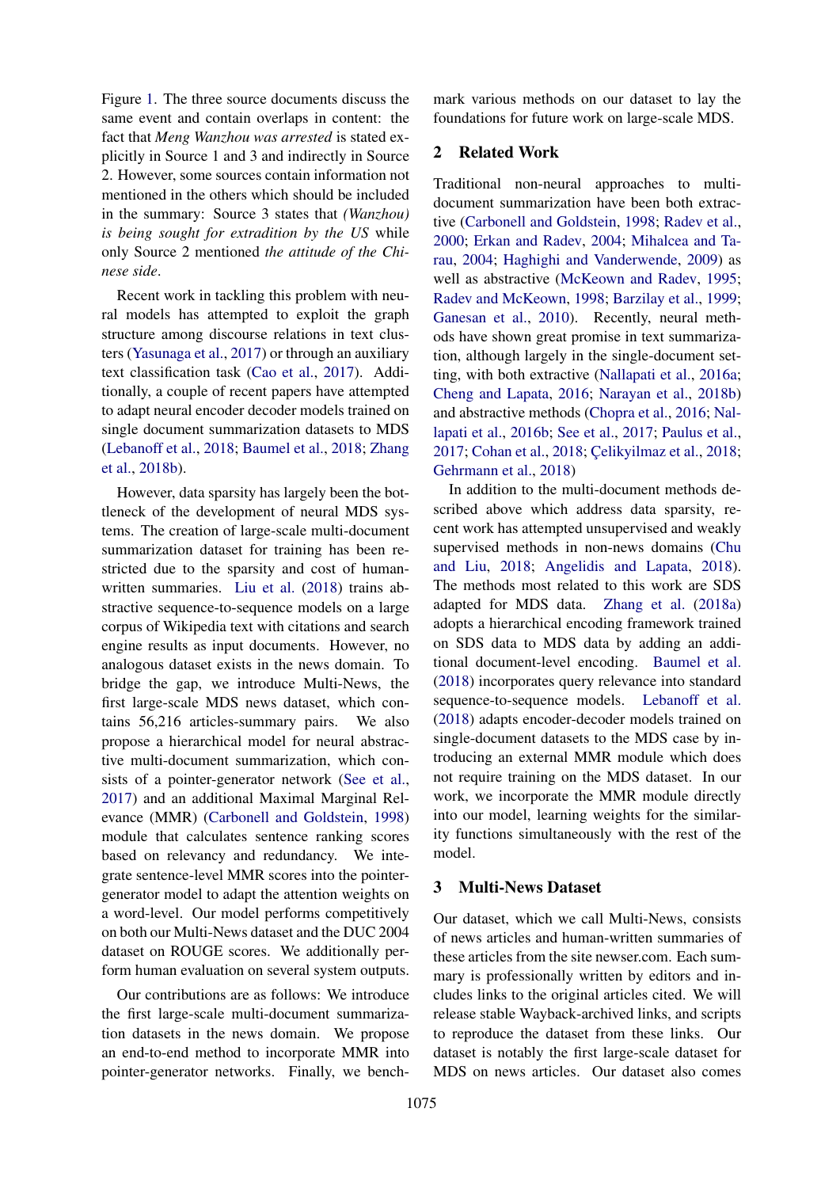Figure [1.](#page-0-1) The three source documents discuss the same event and contain overlaps in content: the fact that *Meng Wanzhou was arrested* is stated explicitly in Source 1 and 3 and indirectly in Source 2. However, some sources contain information not mentioned in the others which should be included in the summary: Source 3 states that *(Wanzhou) is being sought for extradition by the US* while only Source 2 mentioned *the attitude of the Chinese side*.

Recent work in tackling this problem with neural models has attempted to exploit the graph structure among discourse relations in text clusters [\(Yasunaga et al.,](#page-10-2) [2017\)](#page-10-2) or through an auxiliary text classification task [\(Cao et al.,](#page-8-2) [2017\)](#page-8-2). Additionally, a couple of recent papers have attempted to adapt neural encoder decoder models trained on single document summarization datasets to MDS [\(Lebanoff et al.,](#page-9-5) [2018;](#page-9-5) [Baumel et al.,](#page-8-3) [2018;](#page-8-3) [Zhang](#page-10-3) [et al.,](#page-10-3) [2018b\)](#page-10-3).

However, data sparsity has largely been the bottleneck of the development of neural MDS systems. The creation of large-scale multi-document summarization dataset for training has been restricted due to the sparsity and cost of humanwritten summaries. [Liu et al.](#page-9-6) [\(2018\)](#page-9-6) trains abstractive sequence-to-sequence models on a large corpus of Wikipedia text with citations and search engine results as input documents. However, no analogous dataset exists in the news domain. To bridge the gap, we introduce Multi-News, the first large-scale MDS news dataset, which contains 56,216 articles-summary pairs. We also propose a hierarchical model for neural abstractive multi-document summarization, which consists of a pointer-generator network [\(See et al.,](#page-10-1) [2017\)](#page-10-1) and an additional Maximal Marginal Relevance (MMR) [\(Carbonell and Goldstein,](#page-8-4) [1998\)](#page-8-4) module that calculates sentence ranking scores based on relevancy and redundancy. We integrate sentence-level MMR scores into the pointergenerator model to adapt the attention weights on a word-level. Our model performs competitively on both our Multi-News dataset and the DUC 2004 dataset on ROUGE scores. We additionally perform human evaluation on several system outputs.

Our contributions are as follows: We introduce the first large-scale multi-document summarization datasets in the news domain. We propose an end-to-end method to incorporate MMR into pointer-generator networks. Finally, we bench-

mark various methods on our dataset to lay the foundations for future work on large-scale MDS.

## 2 Related Work

Traditional non-neural approaches to multidocument summarization have been both extractive [\(Carbonell and Goldstein,](#page-8-4) [1998;](#page-8-4) [Radev et al.,](#page-9-7) [2000;](#page-9-7) [Erkan and Radev,](#page-8-5) [2004;](#page-8-5) [Mihalcea and Ta](#page-9-8)[rau,](#page-9-8) [2004;](#page-9-8) [Haghighi and Vanderwende,](#page-9-9) [2009\)](#page-9-9) as well as abstractive [\(McKeown and Radev,](#page-9-10) [1995;](#page-9-10) [Radev and McKeown,](#page-10-4) [1998;](#page-10-4) [Barzilay et al.,](#page-8-6) [1999;](#page-8-6) [Ganesan et al.,](#page-8-7) [2010\)](#page-8-7). Recently, neural methods have shown great promise in text summarization, although largely in the single-document setting, with both extractive [\(Nallapati et al.,](#page-9-11) [2016a;](#page-9-11) [Cheng and Lapata,](#page-8-8) [2016;](#page-8-8) [Narayan et al.,](#page-9-12) [2018b\)](#page-9-12) and abstractive methods [\(Chopra et al.,](#page-8-9) [2016;](#page-8-9) [Nal](#page-9-13)[lapati et al.,](#page-9-13) [2016b;](#page-9-13) [See et al.,](#page-10-1) [2017;](#page-10-1) [Paulus et al.,](#page-9-14) [2017;](#page-9-14) [Cohan et al.,](#page-8-10) [2018;](#page-8-11) Celikyilmaz et al., 2018; [Gehrmann et al.,](#page-8-0) [2018\)](#page-8-0)

In addition to the multi-document methods described above which address data sparsity, recent work has attempted unsupervised and weakly supervised methods in non-news domains [\(Chu](#page-8-12) [and Liu,](#page-8-12) [2018;](#page-8-12) [Angelidis and Lapata,](#page-8-13) [2018\)](#page-8-13). The methods most related to this work are SDS adapted for MDS data. [Zhang et al.](#page-10-5) [\(2018a\)](#page-10-5) adopts a hierarchical encoding framework trained on SDS data to MDS data by adding an additional document-level encoding. [Baumel et al.](#page-8-3) [\(2018\)](#page-8-3) incorporates query relevance into standard sequence-to-sequence models. [Lebanoff et al.](#page-9-5) [\(2018\)](#page-9-5) adapts encoder-decoder models trained on single-document datasets to the MDS case by introducing an external MMR module which does not require training on the MDS dataset. In our work, we incorporate the MMR module directly into our model, learning weights for the similarity functions simultaneously with the rest of the model.

### 3 Multi-News Dataset

Our dataset, which we call Multi-News, consists of news articles and human-written summaries of these articles from the site newser.com. Each summary is professionally written by editors and includes links to the original articles cited. We will release stable Wayback-archived links, and scripts to reproduce the dataset from these links. Our dataset is notably the first large-scale dataset for MDS on news articles. Our dataset also comes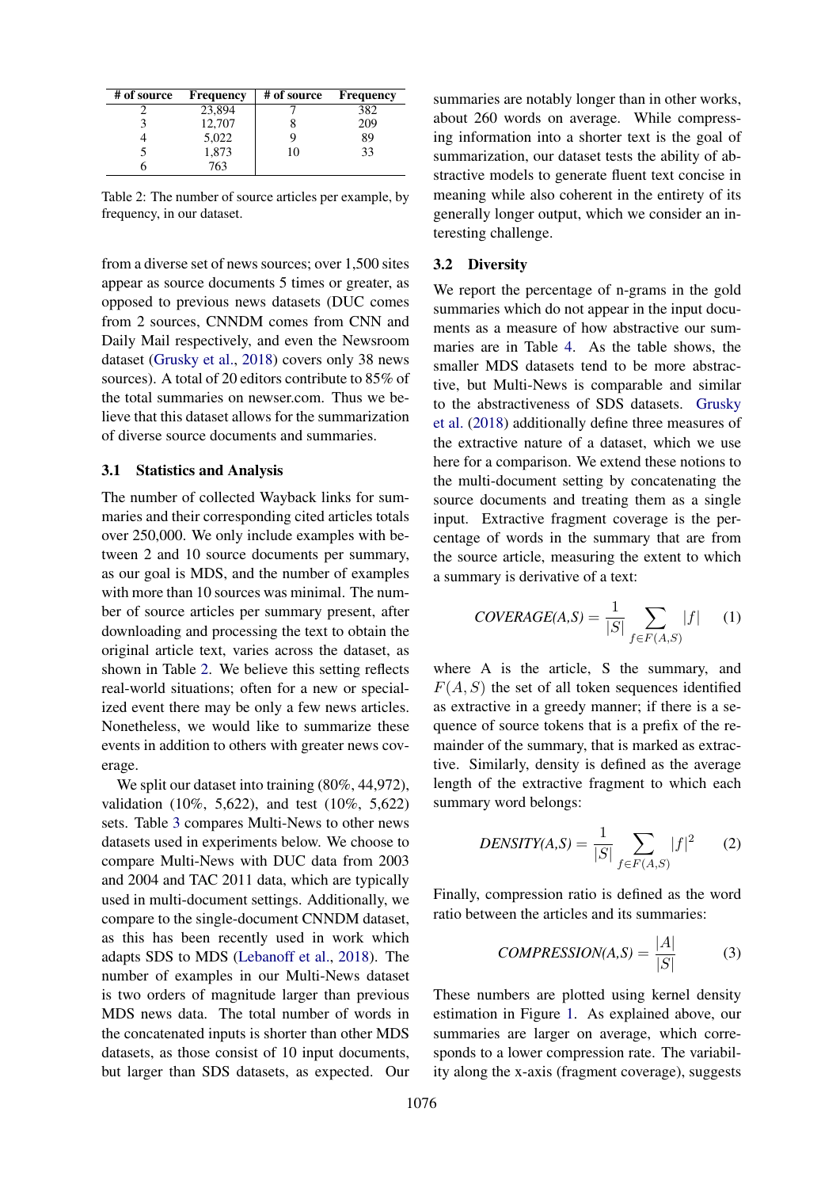<span id="page-2-0"></span>

| # of source | <b>Frequency</b> | # of source | <b>Frequency</b> |
|-------------|------------------|-------------|------------------|
|             | 23,894           |             | 382              |
|             | 12,707           |             | 209              |
|             | 5,022            |             | 89               |
|             | 1,873            | 10          |                  |
|             | 763              |             |                  |

Table 2: The number of source articles per example, by frequency, in our dataset.

from a diverse set of news sources; over 1,500 sites appear as source documents 5 times or greater, as opposed to previous news datasets (DUC comes from 2 sources, CNNDM comes from CNN and Daily Mail respectively, and even the Newsroom dataset [\(Grusky et al.,](#page-9-2) [2018\)](#page-9-2) covers only 38 news sources). A total of 20 editors contribute to 85% of the total summaries on newser.com. Thus we believe that this dataset allows for the summarization of diverse source documents and summaries.

### 3.1 Statistics and Analysis

The number of collected Wayback links for summaries and their corresponding cited articles totals over 250,000. We only include examples with between 2 and 10 source documents per summary, as our goal is MDS, and the number of examples with more than 10 sources was minimal. The number of source articles per summary present, after downloading and processing the text to obtain the original article text, varies across the dataset, as shown in Table [2.](#page-2-0) We believe this setting reflects real-world situations; often for a new or specialized event there may be only a few news articles. Nonetheless, we would like to summarize these events in addition to others with greater news coverage.

We split our dataset into training  $(80\%, 44, 972)$ , validation (10%, 5,622), and test (10%, 5,622) sets. Table [3](#page-3-0) compares Multi-News to other news datasets used in experiments below. We choose to compare Multi-News with DUC data from 2003 and 2004 and TAC 2011 data, which are typically used in multi-document settings. Additionally, we compare to the single-document CNNDM dataset, as this has been recently used in work which adapts SDS to MDS [\(Lebanoff et al.,](#page-9-5) [2018\)](#page-9-5). The number of examples in our Multi-News dataset is two orders of magnitude larger than previous MDS news data. The total number of words in the concatenated inputs is shorter than other MDS datasets, as those consist of 10 input documents, but larger than SDS datasets, as expected. Our summaries are notably longer than in other works, about 260 words on average. While compressing information into a shorter text is the goal of summarization, our dataset tests the ability of abstractive models to generate fluent text concise in meaning while also coherent in the entirety of its generally longer output, which we consider an interesting challenge.

#### <span id="page-2-1"></span>3.2 Diversity

We report the percentage of n-grams in the gold summaries which do not appear in the input documents as a measure of how abstractive our summaries are in Table [4.](#page-3-1) As the table shows, the smaller MDS datasets tend to be more abstractive, but Multi-News is comparable and similar to the abstractiveness of SDS datasets. [Grusky](#page-9-2) [et al.](#page-9-2) [\(2018\)](#page-9-2) additionally define three measures of the extractive nature of a dataset, which we use here for a comparison. We extend these notions to the multi-document setting by concatenating the source documents and treating them as a single input. Extractive fragment coverage is the percentage of words in the summary that are from the source article, measuring the extent to which a summary is derivative of a text:

$$
C OVERAGE(A, S) = \frac{1}{|S|} \sum_{f \in F(A, S)} |f| \qquad (1)
$$

where A is the article, S the summary, and  $F(A, S)$  the set of all token sequences identified as extractive in a greedy manner; if there is a sequence of source tokens that is a prefix of the remainder of the summary, that is marked as extractive. Similarly, density is defined as the average length of the extractive fragment to which each summary word belongs:

$$
DENSITY(A, S) = \frac{1}{|S|} \sum_{f \in F(A, S)} |f|^2 \qquad (2)
$$

Finally, compression ratio is defined as the word ratio between the articles and its summaries:

$$
COMPRESSION(A, S) = \frac{|A|}{|S|} \tag{3}
$$

These numbers are plotted using kernel density estimation in Figure [1.](#page-3-2) As explained above, our summaries are larger on average, which corresponds to a lower compression rate. The variability along the x-axis (fragment coverage), suggests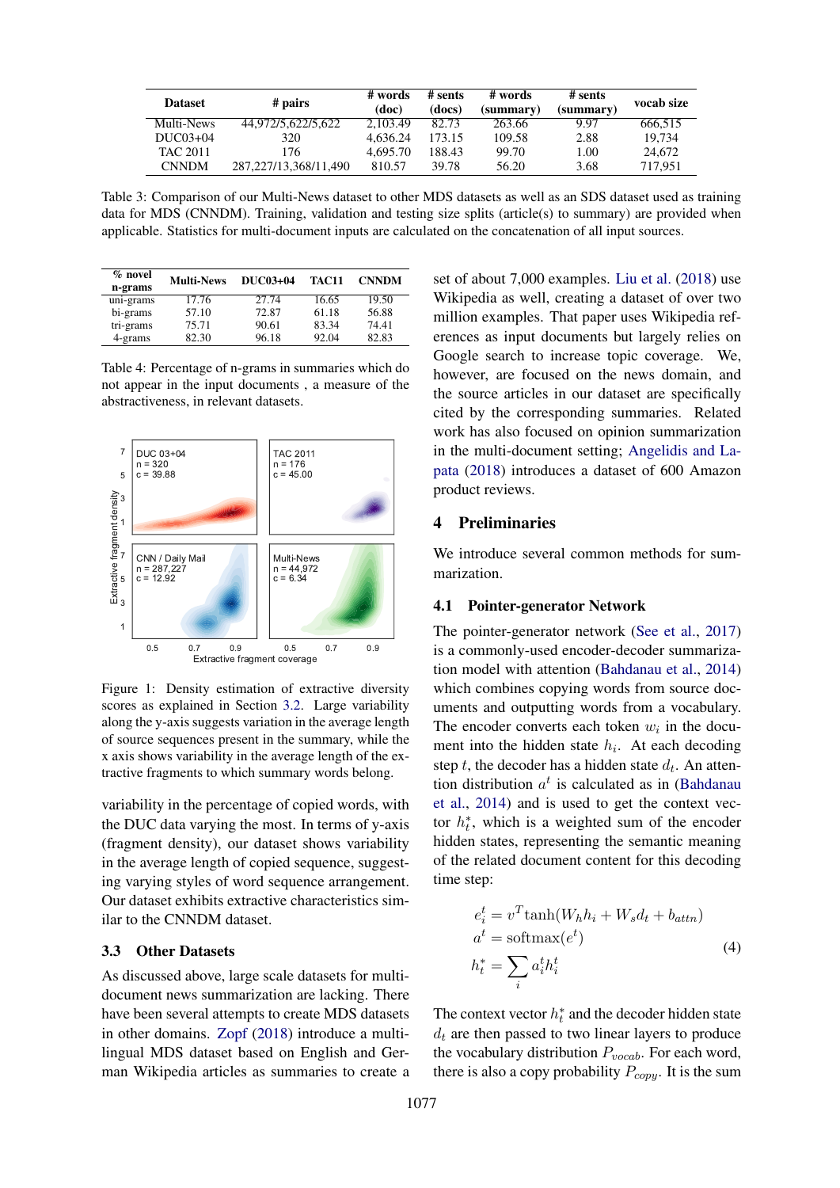<span id="page-3-0"></span>

| <b>Dataset</b>  |                       | # words  | # sents | # words   | # sents   | vocab size |
|-----------------|-----------------------|----------|---------|-----------|-----------|------------|
| # pairs         |                       | (doc)    | (docs)  | (summary) | (summary) |            |
| Multi-News      | 44.972/5.622/5.622    | 2.103.49 | 82.73   | 263.66    | 9.97      | 666.515    |
| $DUC03+04$      | 320                   | 4.636.24 | 173.15  | 109.58    | 2.88      | 19.734     |
| <b>TAC 2011</b> | 176                   | 4.695.70 | 188.43  | 99.70     | 1.00      | 24,672     |
| <b>CNNDM</b>    | 287.227/13.368/11.490 | 810.57   | 39.78   | 56.20     | 3.68      | 717.951    |

Table 3: Comparison of our Multi-News dataset to other MDS datasets as well as an SDS dataset used as training data for MDS (CNNDM). Training, validation and testing size splits (article(s) to summary) are provided when applicable. Statistics for multi-document inputs are calculated on the concatenation of all input sources.

<span id="page-3-1"></span>

| $\%$ novel<br>n-grams | <b>Multi-News</b> | DUC03+04 | TAC11 | <b>CNNDM</b> |
|-----------------------|-------------------|----------|-------|--------------|
| uni-grams             | 17.76             | 27.74    | 16.65 | 19.50        |
| bi-grams              | 57.10             | 72.87    | 61.18 | 56.88        |
| tri-grams             | 75.71             | 90.61    | 83.34 | 74.41        |
| 4-grams               | 82.30             | 96.18    | 92.04 | 82.83        |

Table 4: Percentage of n-grams in summaries which do not appear in the input documents , a measure of the abstractiveness, in relevant datasets.

<span id="page-3-2"></span>

Figure 1: Density estimation of extractive diversity scores as explained in Section [3.2.](#page-2-1) Large variability along the y-axis suggests variation in the average length of source sequences present in the summary, while the x axis shows variability in the average length of the extractive fragments to which summary words belong.

variability in the percentage of copied words, with the DUC data varying the most. In terms of y-axis (fragment density), our dataset shows variability in the average length of copied sequence, suggesting varying styles of word sequence arrangement. Our dataset exhibits extractive characteristics similar to the CNNDM dataset.

### 3.3 Other Datasets

As discussed above, large scale datasets for multidocument news summarization are lacking. There have been several attempts to create MDS datasets in other domains. [Zopf](#page-10-6) [\(2018\)](#page-10-6) introduce a multilingual MDS dataset based on English and German Wikipedia articles as summaries to create a

set of about 7,000 examples. [Liu et al.](#page-9-6) [\(2018\)](#page-9-6) use Wikipedia as well, creating a dataset of over two million examples. That paper uses Wikipedia references as input documents but largely relies on Google search to increase topic coverage. We, however, are focused on the news domain, and the source articles in our dataset are specifically cited by the corresponding summaries. Related work has also focused on opinion summarization in the multi-document setting; [Angelidis and La](#page-8-13)[pata](#page-8-13) [\(2018\)](#page-8-13) introduces a dataset of 600 Amazon product reviews.

### 4 Preliminaries

We introduce several common methods for summarization.

#### 4.1 Pointer-generator Network

The pointer-generator network [\(See et al.,](#page-10-1) [2017\)](#page-10-1) is a commonly-used encoder-decoder summarization model with attention [\(Bahdanau et al.,](#page-8-14) [2014\)](#page-8-14) which combines copying words from source documents and outputting words from a vocabulary. The encoder converts each token  $w_i$  in the document into the hidden state  $h_i$ . At each decoding step  $t$ , the decoder has a hidden state  $d_t$ . An attention distribution  $a^t$  is calculated as in [\(Bahdanau](#page-8-14) [et al.,](#page-8-14) [2014\)](#page-8-14) and is used to get the context vector  $h_t^*$ , which is a weighted sum of the encoder hidden states, representing the semantic meaning of the related document content for this decoding time step:

<span id="page-3-3"></span>
$$
e_i^t = v^T \tanh(W_h h_i + W_s d_t + b_{attn})
$$
  
\n
$$
a^t = \text{softmax}(e^t)
$$
  
\n
$$
h_t^* = \sum_i a_i^t h_i^t
$$
\n(4)

The context vector  $h_t^*$  and the decoder hidden state  $d_t$  are then passed to two linear layers to produce the vocabulary distribution  $P_{vocab}$ . For each word, there is also a copy probability  $P_{copy}$ . It is the sum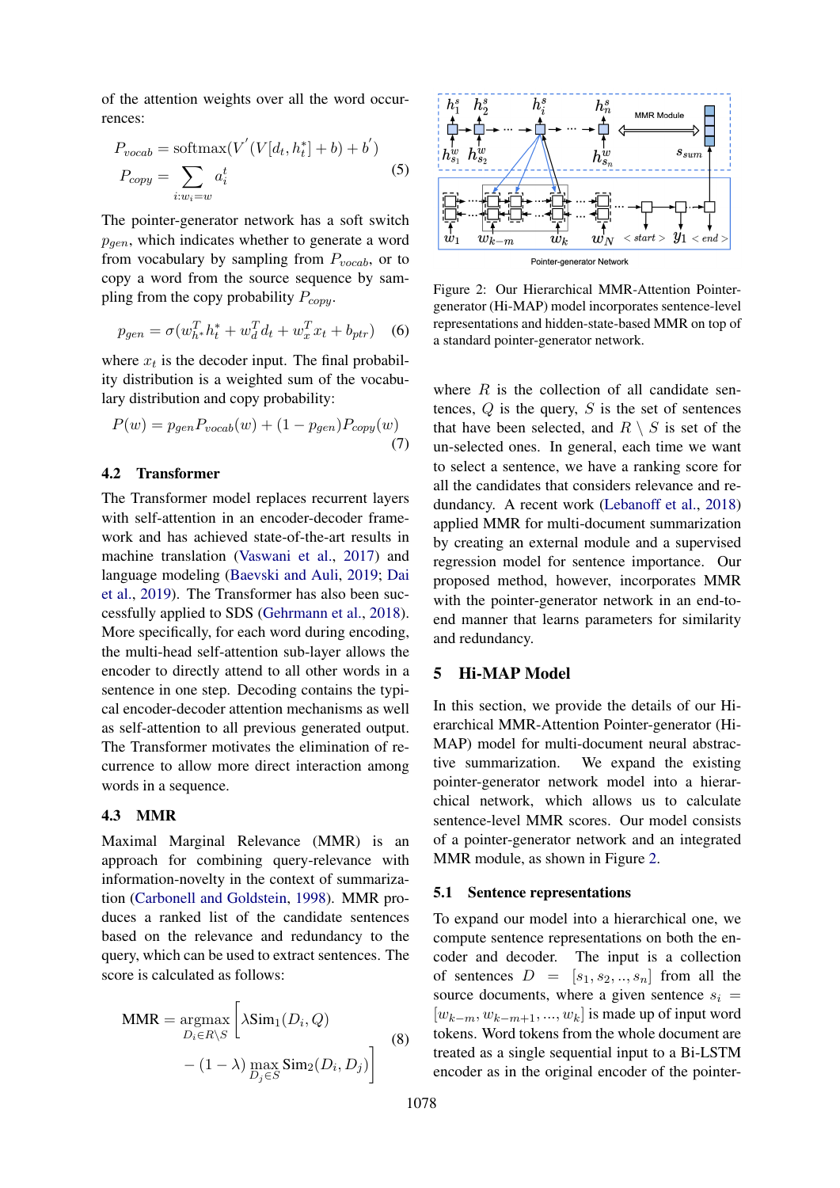of the attention weights over all the word occurrences:

$$
P_{vocab} = \text{softmax}(V'(V[d_t, h_t^*] + b) + b')
$$
  
\n
$$
P_{copy} = \sum_{i:w_i=w} a_i^t
$$
 (5)

The pointer-generator network has a soft switch  $p_{gen}$ , which indicates whether to generate a word from vocabulary by sampling from  $P_{vocab}$ , or to copy a word from the source sequence by sampling from the copy probability  $P_{copy}$ .

$$
p_{gen} = \sigma(w_{h^*}^T h_t^* + w_d^T d_t + w_x^T x_t + b_{ptr}) \quad (6)
$$

where  $x_t$  is the decoder input. The final probability distribution is a weighted sum of the vocabulary distribution and copy probability:

$$
P(w) = p_{gen} P_{vocab}(w) + (1 - p_{gen}) P_{copy}(w)
$$
\n(7)

### 4.2 Transformer

The Transformer model replaces recurrent layers with self-attention in an encoder-decoder framework and has achieved state-of-the-art results in machine translation [\(Vaswani et al.,](#page-10-7) [2017\)](#page-10-7) and language modeling [\(Baevski and Auli,](#page-8-15) [2019;](#page-8-15) [Dai](#page-8-16) [et al.,](#page-8-16) [2019\)](#page-8-16). The Transformer has also been successfully applied to SDS [\(Gehrmann et al.,](#page-8-0) [2018\)](#page-8-0). More specifically, for each word during encoding, the multi-head self-attention sub-layer allows the encoder to directly attend to all other words in a sentence in one step. Decoding contains the typical encoder-decoder attention mechanisms as well as self-attention to all previous generated output. The Transformer motivates the elimination of recurrence to allow more direct interaction among words in a sequence.

### 4.3 MMR

Maximal Marginal Relevance (MMR) is an approach for combining query-relevance with information-novelty in the context of summarization [\(Carbonell and Goldstein,](#page-8-4) [1998\)](#page-8-4). MMR produces a ranked list of the candidate sentences based on the relevance and redundancy to the query, which can be used to extract sentences. The score is calculated as follows:

$$
\text{MMR} = \underset{D_i \in R \backslash S}{\text{argmax}} \left[ \lambda \text{Sim}_1(D_i, Q) - (1 - \lambda) \max_{D_j \in S} \text{Sim}_2(D_i, D_j) \right]
$$
(8)

<span id="page-4-0"></span>

Figure 2: Our Hierarchical MMR-Attention Pointergenerator (Hi-MAP) model incorporates sentence-level representations and hidden-state-based MMR on top of a standard pointer-generator network.

where  $R$  is the collection of all candidate sentences,  $Q$  is the query,  $S$  is the set of sentences that have been selected, and  $R \setminus S$  is set of the un-selected ones. In general, each time we want to select a sentence, we have a ranking score for all the candidates that considers relevance and redundancy. A recent work [\(Lebanoff et al.,](#page-9-5) [2018\)](#page-9-5) applied MMR for multi-document summarization by creating an external module and a supervised regression model for sentence importance. Our proposed method, however, incorporates MMR with the pointer-generator network in an end-toend manner that learns parameters for similarity and redundancy.

### 5 Hi-MAP Model

In this section, we provide the details of our Hierarchical MMR-Attention Pointer-generator (Hi-MAP) model for multi-document neural abstractive summarization. We expand the existing pointer-generator network model into a hierarchical network, which allows us to calculate sentence-level MMR scores. Our model consists of a pointer-generator network and an integrated MMR module, as shown in Figure [2.](#page-4-0)

#### 5.1 Sentence representations

To expand our model into a hierarchical one, we compute sentence representations on both the encoder and decoder. The input is a collection of sentences  $D = [s_1, s_2, ..., s_n]$  from all the source documents, where a given sentence  $s_i$  =  $[w_{k-m}, w_{k-m+1}, ..., w_k]$  is made up of input word tokens. Word tokens from the whole document are treated as a single sequential input to a Bi-LSTM encoder as in the original encoder of the pointer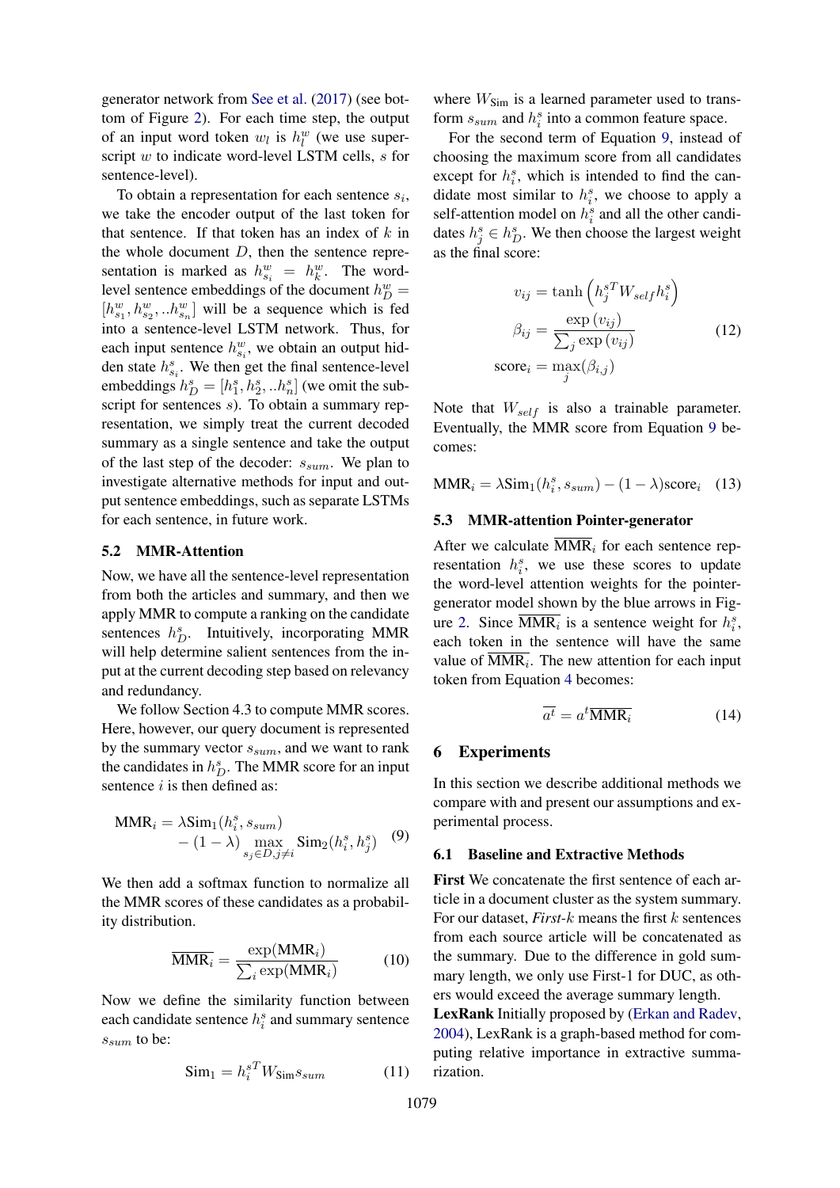generator network from [See et al.](#page-10-1) [\(2017\)](#page-10-1) (see bottom of Figure [2\)](#page-4-0). For each time step, the output of an input word token  $w_l$  is  $h_l^w$  (we use superscript  $w$  to indicate word-level LSTM cells,  $s$  for sentence-level).

To obtain a representation for each sentence  $s_i$ , we take the encoder output of the last token for that sentence. If that token has an index of  $k$  in the whole document  $D$ , then the sentence representation is marked as  $h_{s_i}^w = h_k^w$ . The wordlevel sentence embeddings of the document  $h_D^w =$  $[h_{s_1}^w, h_{s_2}^w, ...h_{s_n}^w]$  will be a sequence which is fed into a sentence-level LSTM network. Thus, for each input sentence  $h_{s_i}^w$ , we obtain an output hidden state  $h_{s_i}^s$ . We then get the final sentence-level embeddings  $h_D^s = [h_1^s, h_2^s, ... h_n^s]$  (we omit the subscript for sentences s). To obtain a summary representation, we simply treat the current decoded summary as a single sentence and take the output of the last step of the decoder:  $s_{sum}$ . We plan to investigate alternative methods for input and output sentence embeddings, such as separate LSTMs for each sentence, in future work.

### <span id="page-5-0"></span>5.2 MMR-Attention

Now, we have all the sentence-level representation from both the articles and summary, and then we apply MMR to compute a ranking on the candidate sentences  $h_D^s$ . Intuitively, incorporating MMR will help determine salient sentences from the input at the current decoding step based on relevancy and redundancy.

We follow Section 4.3 to compute MMR scores. Here, however, our query document is represented by the summary vector  $s_{sum}$ , and we want to rank the candidates in  $h_D^s$ . The MMR score for an input sentence  $i$  is then defined as:

$$
\text{MMR}_{i} = \lambda \text{Sim}_{1}(h_{i}^{s}, s_{sum}) - (1 - \lambda) \max_{s_{j} \in D, j \neq i} \text{Sim}_{2}(h_{i}^{s}, h_{j}^{s}) \quad (9)
$$

We then add a softmax function to normalize all the MMR scores of these candidates as a probability distribution.

$$
\overline{\text{MMR}_i} = \frac{\exp(\text{MMR}_i)}{\sum_i \exp(\text{MMR}_i)}
$$
(10)

Now we define the similarity function between each candidate sentence  $h_i^s$  and summary sentence  $s_{sum}$  to be:

$$
\text{Sim}_1 = h_i^{sT} W_{\text{Sim}} s_{sum} \tag{11}
$$

where  $W_{Sim}$  is a learned parameter used to transform  $s_{sum}$  and  $h_i^s$  into a common feature space.

For the second term of Equation [9,](#page-5-0) instead of choosing the maximum score from all candidates except for  $h_i^s$ , which is intended to find the candidate most similar to  $h_i^s$ , we choose to apply a self-attention model on  $h_i^s$  and all the other candidates  $h_j^s \in h_D^s$ . We then choose the largest weight as the final score:

$$
v_{ij} = \tanh\left(h_j^{sT} W_{self} h_i^s\right)
$$

$$
\beta_{ij} = \frac{\exp(v_{ij})}{\sum_j \exp(v_{ij})}
$$

$$
\operatorname{score}_i = \max_j(\beta_{i,j})
$$
(12)

Note that  $W_{self}$  is also a trainable parameter. Eventually, the MMR score from Equation [9](#page-5-0) becomes:

 $MMR_i = \lambda Sim_1(h_i^s, s_{sum}) - (1 - \lambda)score_i$  (13)

#### 5.3 MMR-attention Pointer-generator

After we calculate  $\overline{\text{MMR}}_i$  for each sentence representation  $h_i^s$ , we use these scores to update the word-level attention weights for the pointergenerator model shown by the blue arrows in Fig-ure [2.](#page-4-0) Since  $\overline{\text{MMR}_i}$  is a sentence weight for  $h_i^s$ , each token in the sentence will have the same value of  $MMR_i$ . The new attention for each input token from Equation [4](#page-3-3) becomes:

$$
\overline{a^t} = a^t \overline{\text{MMR}_i} \tag{14}
$$

#### 6 Experiments

In this section we describe additional methods we compare with and present our assumptions and experimental process.

#### 6.1 Baseline and Extractive Methods

First We concatenate the first sentence of each article in a document cluster as the system summary. For our dataset, *First-k* means the first *k* sentences from each source article will be concatenated as the summary. Due to the difference in gold summary length, we only use First-1 for DUC, as others would exceed the average summary length.

LexRank Initially proposed by [\(Erkan and Radev,](#page-8-5) [2004\)](#page-8-5), LexRank is a graph-based method for computing relative importance in extractive summarization.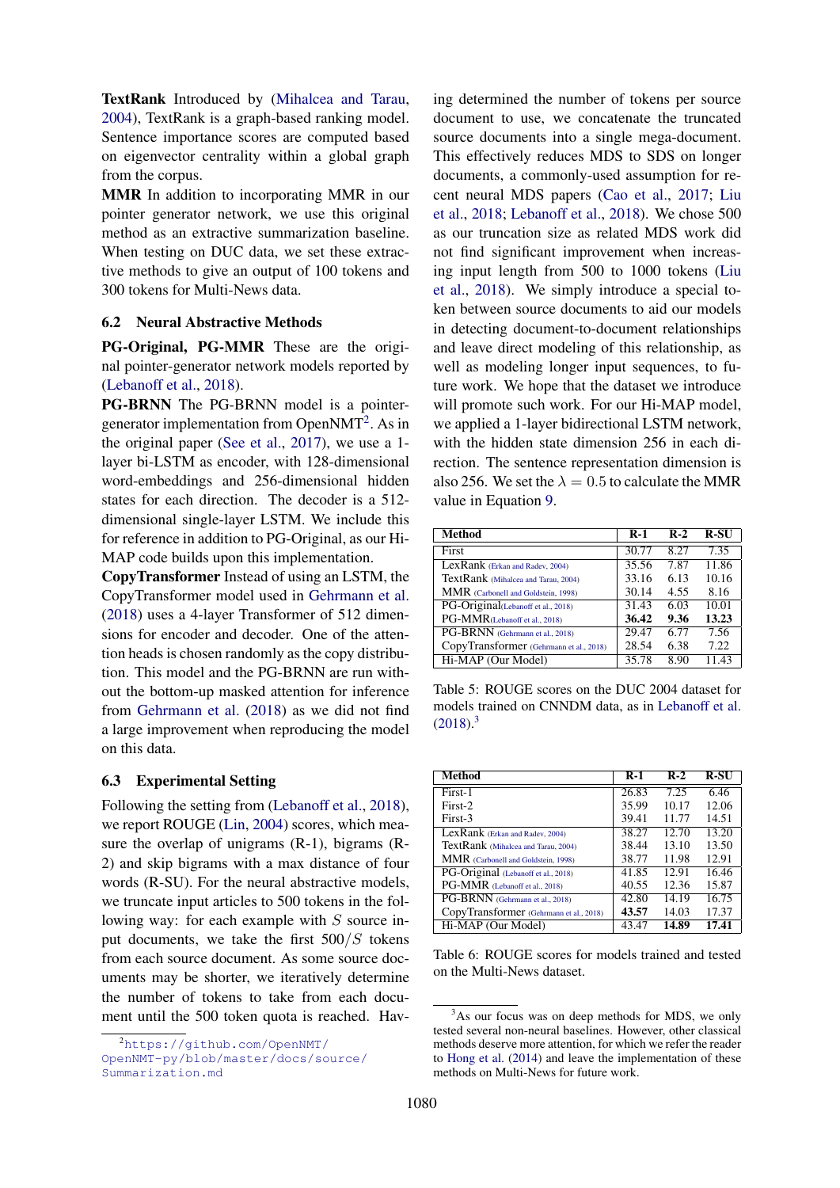TextRank Introduced by [\(Mihalcea and Tarau,](#page-9-8) [2004\)](#page-9-8), TextRank is a graph-based ranking model. Sentence importance scores are computed based on eigenvector centrality within a global graph from the corpus.

MMR In addition to incorporating MMR in our pointer generator network, we use this original method as an extractive summarization baseline. When testing on DUC data, we set these extractive methods to give an output of 100 tokens and 300 tokens for Multi-News data.

#### 6.2 Neural Abstractive Methods

PG-Original, PG-MMR These are the original pointer-generator network models reported by [\(Lebanoff et al.,](#page-9-5) [2018\)](#page-9-5).

PG-BRNN The PG-BRNN model is a pointer-generator implementation from OpenNMT<sup>[2](#page-6-0)</sup>. As in the original paper [\(See et al.,](#page-10-1) [2017\)](#page-10-1), we use a 1 layer bi-LSTM as encoder, with 128-dimensional word-embeddings and 256-dimensional hidden states for each direction. The decoder is a 512 dimensional single-layer LSTM. We include this for reference in addition to PG-Original, as our Hi-MAP code builds upon this implementation.

CopyTransformer Instead of using an LSTM, the CopyTransformer model used in [Gehrmann et al.](#page-8-0) [\(2018\)](#page-8-0) uses a 4-layer Transformer of 512 dimensions for encoder and decoder. One of the attention heads is chosen randomly as the copy distribution. This model and the PG-BRNN are run without the bottom-up masked attention for inference from [Gehrmann et al.](#page-8-0) [\(2018\)](#page-8-0) as we did not find a large improvement when reproducing the model on this data.

#### 6.3 Experimental Setting

Following the setting from [\(Lebanoff et al.,](#page-9-5) [2018\)](#page-9-5), we report ROUGE [\(Lin,](#page-9-15) [2004\)](#page-9-15) scores, which measure the overlap of unigrams (R-1), bigrams (R-2) and skip bigrams with a max distance of four words (R-SU). For the neural abstractive models, we truncate input articles to 500 tokens in the following way: for each example with S source input documents, we take the first  $500/S$  tokens from each source document. As some source documents may be shorter, we iteratively determine the number of tokens to take from each document until the 500 token quota is reached. Hav-

ing determined the number of tokens per source document to use, we concatenate the truncated source documents into a single mega-document. This effectively reduces MDS to SDS on longer documents, a commonly-used assumption for recent neural MDS papers [\(Cao et al.,](#page-8-2) [2017;](#page-8-2) [Liu](#page-9-6) [et al.,](#page-9-6) [2018;](#page-9-6) [Lebanoff et al.,](#page-9-5) [2018\)](#page-9-5). We chose 500 as our truncation size as related MDS work did not find significant improvement when increasing input length from 500 to 1000 tokens [\(Liu](#page-9-6) [et al.,](#page-9-6) [2018\)](#page-9-6). We simply introduce a special token between source documents to aid our models in detecting document-to-document relationships and leave direct modeling of this relationship, as well as modeling longer input sequences, to future work. We hope that the dataset we introduce will promote such work. For our Hi-MAP model, we applied a 1-layer bidirectional LSTM network, with the hidden state dimension 256 in each direction. The sentence representation dimension is also 256. We set the  $\lambda = 0.5$  to calculate the MMR value in Equation [9.](#page-5-0)

<span id="page-6-2"></span>

| Method                                  | $R-1$ | $R-2$ | <b>R-SU</b> |
|-----------------------------------------|-------|-------|-------------|
| First                                   | 30.77 | 8.27  | 7.35        |
| LexRank (Erkan and Radev, 2004)         | 35.56 | 7.87  | 11.86       |
| TextRank (Mihalcea and Tarau, 2004)     | 33.16 | 6.13  | 10.16       |
| MMR (Carbonell and Goldstein, 1998)     | 30.14 | 4.55  | 8.16        |
| PG-Original(Lebanoff et al., 2018)      | 31.43 | 6.03  | 10.01       |
| PG-MMR(Lebanoff et al., 2018)           | 36.42 | 9.36  | 13.23       |
| PG-BRNN (Gehrmann et al., 2018)         | 29.47 | 6.77  | 7.56        |
| CopyTransformer (Gehrmann et al., 2018) | 28.54 | 6.38  | 7.22        |
| Hi-MAP (Our Model)                      | 35.78 | 8.90  | 11.43       |

Table 5: ROUGE scores on the DUC 2004 dataset for models trained on CNNDM data, as in [Lebanoff et al.](#page-9-5)  $(2018).<sup>3</sup>$  $(2018).<sup>3</sup>$  $(2018).<sup>3</sup>$  $(2018).<sup>3</sup>$ 

<span id="page-6-3"></span>

| Method                                  | $R-1$ | $R-2$ | R-SU  |
|-----------------------------------------|-------|-------|-------|
| First-1                                 | 26.83 | 7.25  | 6.46  |
| First-2                                 | 35.99 | 10.17 | 12.06 |
| First-3                                 | 39.41 | 11.77 | 14.51 |
| LexRank (Erkan and Radev, 2004)         | 38.27 | 12.70 | 13.20 |
| TextRank (Mihalcea and Tarau, 2004)     | 38.44 | 13.10 | 13.50 |
| MMR (Carbonell and Goldstein, 1998)     | 38.77 | 11.98 | 12.91 |
| PG-Original (Lebanoff et al., 2018)     | 41.85 | 12.91 | 16.46 |
| PG-MMR (Lebanoff et al., 2018)          | 40.55 | 12.36 | 15.87 |
| PG-BRNN (Gehrmann et al., 2018)         | 42.80 | 14.19 | 16.75 |
| CopyTransformer (Gehrmann et al., 2018) | 43.57 | 14.03 | 17.37 |
| Hi-MAP (Our Model)                      | 43.47 | 14.89 | 17.41 |

Table 6: ROUGE scores for models trained and tested on the Multi-News dataset.

<span id="page-6-0"></span><sup>2</sup>[https://github.com/OpenNMT/](https://github.com/OpenNMT/OpenNMT-py/blob/master/docs/source/Summarization.md) [OpenNMT-py/blob/master/docs/source/](https://github.com/OpenNMT/OpenNMT-py/blob/master/docs/source/Summarization.md) [Summarization.md](https://github.com/OpenNMT/OpenNMT-py/blob/master/docs/source/Summarization.md)

<span id="page-6-1"></span><sup>&</sup>lt;sup>3</sup>As our focus was on deep methods for MDS, we only tested several non-neural baselines. However, other classical methods deserve more attention, for which we refer the reader to [Hong et al.](#page-9-16) [\(2014\)](#page-9-16) and leave the implementation of these methods on Multi-News for future work.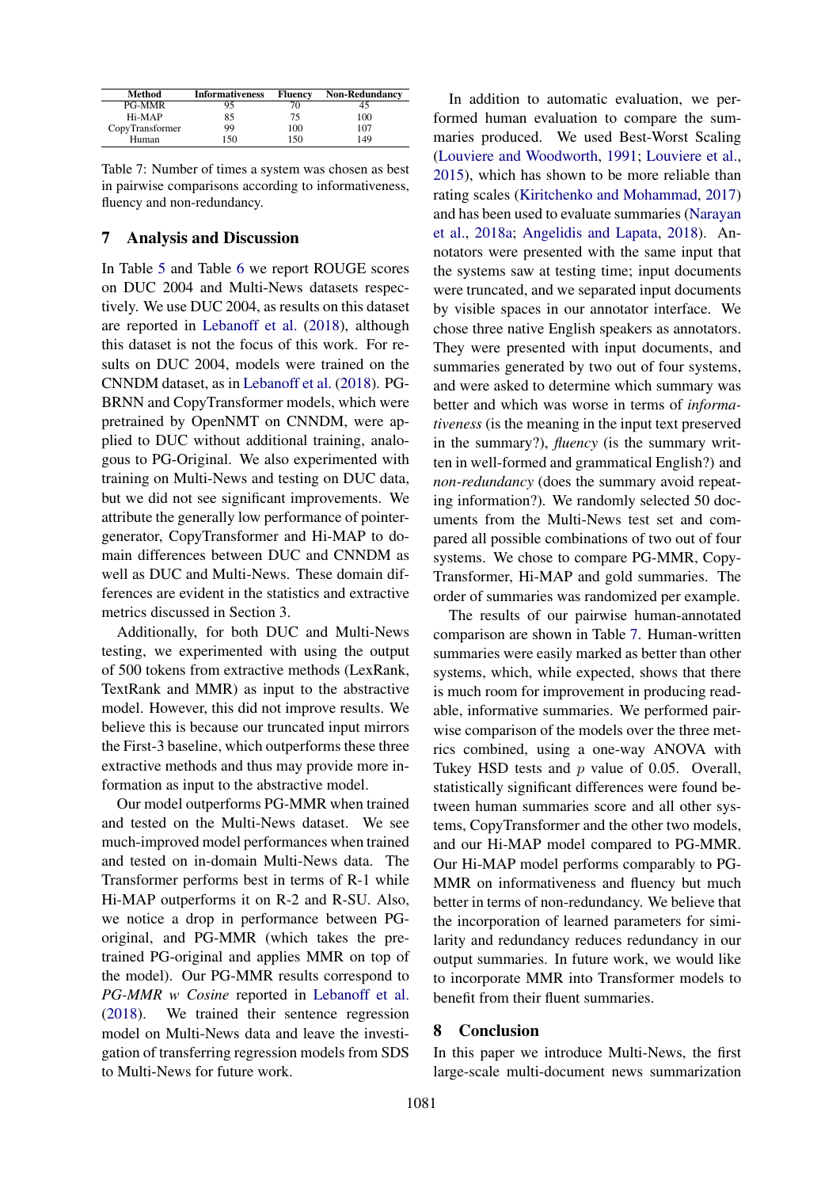<span id="page-7-0"></span>

| Method          | <b>Informativeness</b> | <b>Fluency</b> | <b>Non-Redundancy</b> |
|-----------------|------------------------|----------------|-----------------------|
| <b>PG-MMR</b>   | 95                     |                | 40                    |
| Hi-MAP          | 85                     | 75.            | 100                   |
| CopyTransformer | 99                     | 100            | 107                   |
| Human           | 150                    | 150            | 149                   |

Table 7: Number of times a system was chosen as best in pairwise comparisons according to informativeness, fluency and non-redundancy.

## 7 Analysis and Discussion

In Table [5](#page-6-2) and Table [6](#page-6-3) we report ROUGE scores on DUC 2004 and Multi-News datasets respectively. We use DUC 2004, as results on this dataset are reported in [Lebanoff et al.](#page-9-5) [\(2018\)](#page-9-5), although this dataset is not the focus of this work. For results on DUC 2004, models were trained on the CNNDM dataset, as in [Lebanoff et al.](#page-9-5) [\(2018\)](#page-9-5). PG-BRNN and CopyTransformer models, which were pretrained by OpenNMT on CNNDM, were applied to DUC without additional training, analogous to PG-Original. We also experimented with training on Multi-News and testing on DUC data, but we did not see significant improvements. We attribute the generally low performance of pointergenerator, CopyTransformer and Hi-MAP to domain differences between DUC and CNNDM as well as DUC and Multi-News. These domain differences are evident in the statistics and extractive metrics discussed in Section 3.

Additionally, for both DUC and Multi-News testing, we experimented with using the output of 500 tokens from extractive methods (LexRank, TextRank and MMR) as input to the abstractive model. However, this did not improve results. We believe this is because our truncated input mirrors the First-3 baseline, which outperforms these three extractive methods and thus may provide more information as input to the abstractive model.

Our model outperforms PG-MMR when trained and tested on the Multi-News dataset. We see much-improved model performances when trained and tested on in-domain Multi-News data. The Transformer performs best in terms of R-1 while Hi-MAP outperforms it on R-2 and R-SU. Also, we notice a drop in performance between PGoriginal, and PG-MMR (which takes the pretrained PG-original and applies MMR on top of the model). Our PG-MMR results correspond to *PG-MMR w Cosine* reported in [Lebanoff et al.](#page-9-5) [\(2018\)](#page-9-5). We trained their sentence regression model on Multi-News data and leave the investigation of transferring regression models from SDS to Multi-News for future work.

In addition to automatic evaluation, we performed human evaluation to compare the summaries produced. We used Best-Worst Scaling [\(Louviere and Woodworth,](#page-9-17) [1991;](#page-9-17) [Louviere et al.,](#page-9-18) [2015\)](#page-9-18), which has shown to be more reliable than rating scales [\(Kiritchenko and Mohammad,](#page-9-19) [2017\)](#page-9-19) and has been used to evaluate summaries [\(Narayan](#page-9-20) [et al.,](#page-9-20) [2018a;](#page-9-20) [Angelidis and Lapata,](#page-8-13) [2018\)](#page-8-13). Annotators were presented with the same input that the systems saw at testing time; input documents were truncated, and we separated input documents by visible spaces in our annotator interface. We chose three native English speakers as annotators. They were presented with input documents, and summaries generated by two out of four systems, and were asked to determine which summary was better and which was worse in terms of *informativeness* (is the meaning in the input text preserved in the summary?), *fluency* (is the summary written in well-formed and grammatical English?) and *non-redundancy* (does the summary avoid repeating information?). We randomly selected 50 documents from the Multi-News test set and compared all possible combinations of two out of four systems. We chose to compare PG-MMR, Copy-Transformer, Hi-MAP and gold summaries. The order of summaries was randomized per example.

The results of our pairwise human-annotated comparison are shown in Table [7.](#page-7-0) Human-written summaries were easily marked as better than other systems, which, while expected, shows that there is much room for improvement in producing readable, informative summaries. We performed pairwise comparison of the models over the three metrics combined, using a one-way ANOVA with Tukey HSD tests and  $p$  value of 0.05. Overall, statistically significant differences were found between human summaries score and all other systems, CopyTransformer and the other two models, and our Hi-MAP model compared to PG-MMR. Our Hi-MAP model performs comparably to PG-MMR on informativeness and fluency but much better in terms of non-redundancy. We believe that the incorporation of learned parameters for similarity and redundancy reduces redundancy in our output summaries. In future work, we would like to incorporate MMR into Transformer models to benefit from their fluent summaries.

#### 8 Conclusion

In this paper we introduce Multi-News, the first large-scale multi-document news summarization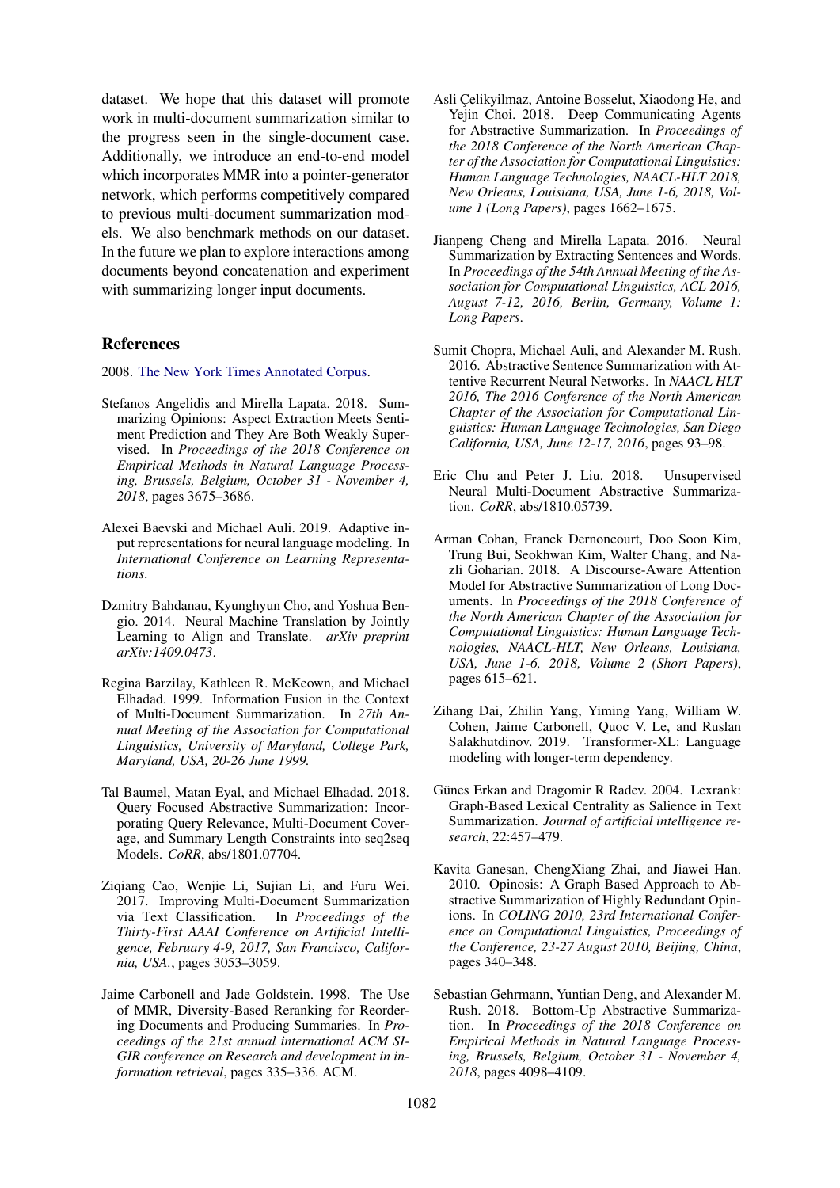dataset. We hope that this dataset will promote work in multi-document summarization similar to the progress seen in the single-document case. Additionally, we introduce an end-to-end model which incorporates MMR into a pointer-generator network, which performs competitively compared to previous multi-document summarization models. We also benchmark methods on our dataset. In the future we plan to explore interactions among documents beyond concatenation and experiment with summarizing longer input documents.

#### References

<span id="page-8-1"></span>2008. [The New York Times Annotated Corpus.](https://catalog.ldc.upenn.edu/LDC2008T19)

- <span id="page-8-13"></span>Stefanos Angelidis and Mirella Lapata. 2018. Summarizing Opinions: Aspect Extraction Meets Sentiment Prediction and They Are Both Weakly Supervised. In *Proceedings of the 2018 Conference on Empirical Methods in Natural Language Processing, Brussels, Belgium, October 31 - November 4, 2018*, pages 3675–3686.
- <span id="page-8-15"></span>Alexei Baevski and Michael Auli. 2019. Adaptive input representations for neural language modeling. In *International Conference on Learning Representations*.
- <span id="page-8-14"></span>Dzmitry Bahdanau, Kyunghyun Cho, and Yoshua Bengio. 2014. Neural Machine Translation by Jointly Learning to Align and Translate. *arXiv preprint arXiv:1409.0473*.
- <span id="page-8-6"></span>Regina Barzilay, Kathleen R. McKeown, and Michael Elhadad. 1999. Information Fusion in the Context of Multi-Document Summarization. In *27th Annual Meeting of the Association for Computational Linguistics, University of Maryland, College Park, Maryland, USA, 20-26 June 1999.*
- <span id="page-8-3"></span>Tal Baumel, Matan Eyal, and Michael Elhadad. 2018. Query Focused Abstractive Summarization: Incorporating Query Relevance, Multi-Document Coverage, and Summary Length Constraints into seq2seq Models. *CoRR*, abs/1801.07704.
- <span id="page-8-2"></span>Ziqiang Cao, Wenjie Li, Sujian Li, and Furu Wei. 2017. Improving Multi-Document Summarization via Text Classification. In *Proceedings of the Thirty-First AAAI Conference on Artificial Intelligence, February 4-9, 2017, San Francisco, California, USA.*, pages 3053–3059.
- <span id="page-8-4"></span>Jaime Carbonell and Jade Goldstein. 1998. The Use of MMR, Diversity-Based Reranking for Reordering Documents and Producing Summaries. In *Proceedings of the 21st annual international ACM SI-GIR conference on Research and development in information retrieval*, pages 335–336. ACM.
- <span id="page-8-11"></span>Asli Celikvilmaz, Antoine Bosselut, Xiaodong He, and Yejin Choi. 2018. Deep Communicating Agents for Abstractive Summarization. In *Proceedings of the 2018 Conference of the North American Chapter of the Association for Computational Linguistics: Human Language Technologies, NAACL-HLT 2018, New Orleans, Louisiana, USA, June 1-6, 2018, Volume 1 (Long Papers)*, pages 1662–1675.
- <span id="page-8-8"></span>Jianpeng Cheng and Mirella Lapata. 2016. Neural Summarization by Extracting Sentences and Words. In *Proceedings of the 54th Annual Meeting of the Association for Computational Linguistics, ACL 2016, August 7-12, 2016, Berlin, Germany, Volume 1: Long Papers*.
- <span id="page-8-9"></span>Sumit Chopra, Michael Auli, and Alexander M. Rush. 2016. Abstractive Sentence Summarization with Attentive Recurrent Neural Networks. In *NAACL HLT 2016, The 2016 Conference of the North American Chapter of the Association for Computational Linguistics: Human Language Technologies, San Diego California, USA, June 12-17, 2016*, pages 93–98.
- <span id="page-8-12"></span>Eric Chu and Peter J. Liu. 2018. Unsupervised Neural Multi-Document Abstractive Summarization. *CoRR*, abs/1810.05739.
- <span id="page-8-10"></span>Arman Cohan, Franck Dernoncourt, Doo Soon Kim, Trung Bui, Seokhwan Kim, Walter Chang, and Nazli Goharian. 2018. A Discourse-Aware Attention Model for Abstractive Summarization of Long Documents. In *Proceedings of the 2018 Conference of the North American Chapter of the Association for Computational Linguistics: Human Language Technologies, NAACL-HLT, New Orleans, Louisiana, USA, June 1-6, 2018, Volume 2 (Short Papers)*, pages 615–621.
- <span id="page-8-16"></span>Zihang Dai, Zhilin Yang, Yiming Yang, William W. Cohen, Jaime Carbonell, Quoc V. Le, and Ruslan Salakhutdinov. 2019. Transformer-XL: Language modeling with longer-term dependency.
- <span id="page-8-5"></span>Günes Erkan and Dragomir R Radev. 2004. Lexrank: Graph-Based Lexical Centrality as Salience in Text Summarization. *Journal of artificial intelligence research*, 22:457–479.
- <span id="page-8-7"></span>Kavita Ganesan, ChengXiang Zhai, and Jiawei Han. 2010. Opinosis: A Graph Based Approach to Abstractive Summarization of Highly Redundant Opinions. In *COLING 2010, 23rd International Conference on Computational Linguistics, Proceedings of the Conference, 23-27 August 2010, Beijing, China*, pages 340–348.
- <span id="page-8-0"></span>Sebastian Gehrmann, Yuntian Deng, and Alexander M. Rush. 2018. Bottom-Up Abstractive Summarization. In *Proceedings of the 2018 Conference on Empirical Methods in Natural Language Processing, Brussels, Belgium, October 31 - November 4, 2018*, pages 4098–4109.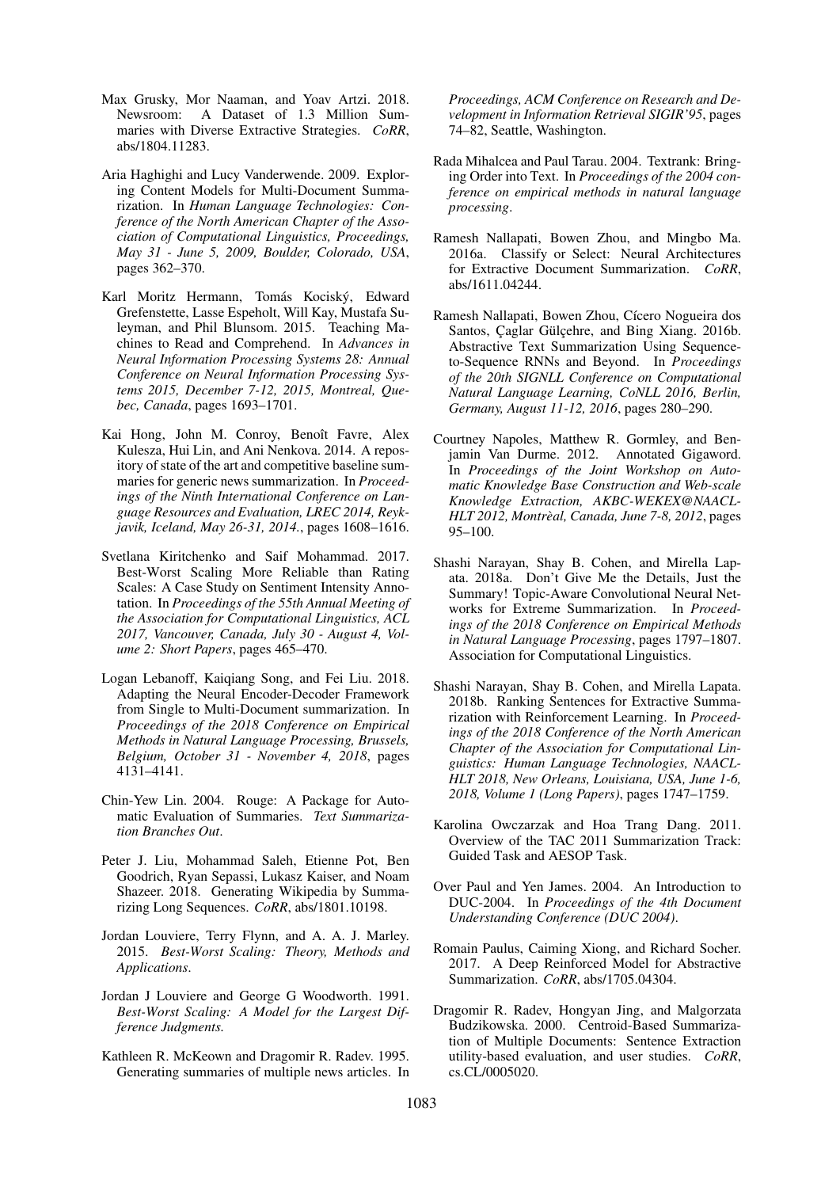- <span id="page-9-2"></span>Max Grusky, Mor Naaman, and Yoav Artzi. 2018. Newsroom: A Dataset of 1.3 Million Summaries with Diverse Extractive Strategies. *CoRR*, abs/1804.11283.
- <span id="page-9-9"></span>Aria Haghighi and Lucy Vanderwende. 2009. Exploring Content Models for Multi-Document Summarization. In *Human Language Technologies: Conference of the North American Chapter of the Association of Computational Linguistics, Proceedings, May 31 - June 5, 2009, Boulder, Colorado, USA*, pages 362–370.
- <span id="page-9-1"></span>Karl Moritz Hermann, Tomás Kociský, Edward Grefenstette, Lasse Espeholt, Will Kay, Mustafa Suleyman, and Phil Blunsom. 2015. Teaching Machines to Read and Comprehend. In *Advances in Neural Information Processing Systems 28: Annual Conference on Neural Information Processing Systems 2015, December 7-12, 2015, Montreal, Quebec, Canada*, pages 1693–1701.
- <span id="page-9-16"></span>Kai Hong, John M. Conroy, Benoît Favre, Alex Kulesza, Hui Lin, and Ani Nenkova. 2014. A repository of state of the art and competitive baseline summaries for generic news summarization. In *Proceedings of the Ninth International Conference on Language Resources and Evaluation, LREC 2014, Reykjavik, Iceland, May 26-31, 2014.*, pages 1608–1616.
- <span id="page-9-19"></span>Svetlana Kiritchenko and Saif Mohammad. 2017. Best-Worst Scaling More Reliable than Rating Scales: A Case Study on Sentiment Intensity Annotation. In *Proceedings of the 55th Annual Meeting of the Association for Computational Linguistics, ACL 2017, Vancouver, Canada, July 30 - August 4, Volume 2: Short Papers*, pages 465–470.
- <span id="page-9-5"></span>Logan Lebanoff, Kaiqiang Song, and Fei Liu. 2018. Adapting the Neural Encoder-Decoder Framework from Single to Multi-Document summarization. In *Proceedings of the 2018 Conference on Empirical Methods in Natural Language Processing, Brussels, Belgium, October 31 - November 4, 2018*, pages 4131–4141.
- <span id="page-9-15"></span>Chin-Yew Lin. 2004. Rouge: A Package for Automatic Evaluation of Summaries. *Text Summarization Branches Out*.
- <span id="page-9-6"></span>Peter J. Liu, Mohammad Saleh, Etienne Pot, Ben Goodrich, Ryan Sepassi, Lukasz Kaiser, and Noam Shazeer. 2018. Generating Wikipedia by Summarizing Long Sequences. *CoRR*, abs/1801.10198.
- <span id="page-9-18"></span>Jordan Louviere, Terry Flynn, and A. A. J. Marley. 2015. *Best-Worst Scaling: Theory, Methods and Applications*.
- <span id="page-9-17"></span>Jordan J Louviere and George G Woodworth. 1991. *Best-Worst Scaling: A Model for the Largest Difference Judgments.*
- <span id="page-9-10"></span>Kathleen R. McKeown and Dragomir R. Radev. 1995. Generating summaries of multiple news articles. In

*Proceedings, ACM Conference on Research and Development in Information Retrieval SIGIR'95*, pages 74–82, Seattle, Washington.

- <span id="page-9-8"></span>Rada Mihalcea and Paul Tarau. 2004. Textrank: Bringing Order into Text. In *Proceedings of the 2004 conference on empirical methods in natural language processing*.
- <span id="page-9-11"></span>Ramesh Nallapati, Bowen Zhou, and Mingbo Ma. 2016a. Classify or Select: Neural Architectures for Extractive Document Summarization. *CoRR*, abs/1611.04244.
- <span id="page-9-13"></span>Ramesh Nallapati, Bowen Zhou, Cícero Nogueira dos Santos, Çaglar Gülçehre, and Bing Xiang. 2016b. Abstractive Text Summarization Using Sequenceto-Sequence RNNs and Beyond. In *Proceedings of the 20th SIGNLL Conference on Computational Natural Language Learning, CoNLL 2016, Berlin, Germany, August 11-12, 2016*, pages 280–290.
- <span id="page-9-0"></span>Courtney Napoles, Matthew R. Gormley, and Benjamin Van Durme. 2012. Annotated Gigaword. In *Proceedings of the Joint Workshop on Automatic Knowledge Base Construction and Web-scale Knowledge Extraction, AKBC-WEKEX@NAACL-HLT 2012, Montreal, Canada, June 7-8, 2012 `* , pages 95–100.
- <span id="page-9-20"></span>Shashi Narayan, Shay B. Cohen, and Mirella Lapata. 2018a. Don't Give Me the Details, Just the Summary! Topic-Aware Convolutional Neural Networks for Extreme Summarization. In *Proceedings of the 2018 Conference on Empirical Methods in Natural Language Processing*, pages 1797–1807. Association for Computational Linguistics.
- <span id="page-9-12"></span>Shashi Narayan, Shay B. Cohen, and Mirella Lapata. 2018b. Ranking Sentences for Extractive Summarization with Reinforcement Learning. In *Proceedings of the 2018 Conference of the North American Chapter of the Association for Computational Linguistics: Human Language Technologies, NAACL-HLT 2018, New Orleans, Louisiana, USA, June 1-6, 2018, Volume 1 (Long Papers)*, pages 1747–1759.
- <span id="page-9-4"></span>Karolina Owczarzak and Hoa Trang Dang. 2011. Overview of the TAC 2011 Summarization Track: Guided Task and AESOP Task.
- <span id="page-9-3"></span>Over Paul and Yen James. 2004. An Introduction to DUC-2004. In *Proceedings of the 4th Document Understanding Conference (DUC 2004)*.
- <span id="page-9-14"></span>Romain Paulus, Caiming Xiong, and Richard Socher. 2017. A Deep Reinforced Model for Abstractive Summarization. *CoRR*, abs/1705.04304.
- <span id="page-9-7"></span>Dragomir R. Radev, Hongyan Jing, and Malgorzata Budzikowska. 2000. Centroid-Based Summarization of Multiple Documents: Sentence Extraction utility-based evaluation, and user studies. *CoRR*, cs.CL/0005020.